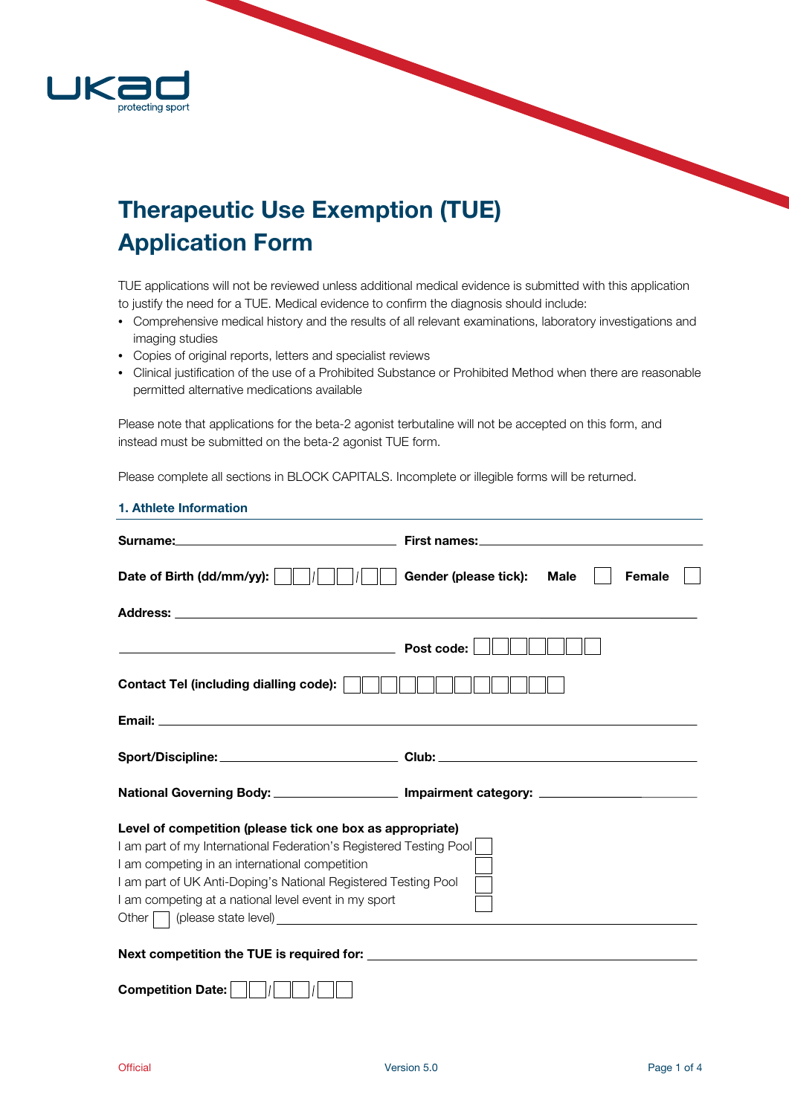

# Therapeutic Use Exemption (TUE) Application Form

TUE applications will not be reviewed unless additional medical evidence is submitted with this application to justify the need for a TUE. Medical evidence to confirm the diagnosis should include:

- Comprehensive medical history and the results of all relevant examinations, laboratory investigations and imaging studies
- Copies of original reports, letters and specialist reviews
- Clinical justification of the use of a Prohibited Substance or Prohibited Method when there are reasonable permitted alternative medications available

Please note that applications for the beta-2 agonist terbutaline will not be accepted on this form, and instead must be submitted on the beta-2 agonist TUE form.

Please complete all sections in BLOCK CAPITALS. Incomplete or illegible forms will be returned.

| 1. Athlete Information                                                                                                                                                                                                                                                                                      |                                                                                                                                                                                                                                |
|-------------------------------------------------------------------------------------------------------------------------------------------------------------------------------------------------------------------------------------------------------------------------------------------------------------|--------------------------------------------------------------------------------------------------------------------------------------------------------------------------------------------------------------------------------|
|                                                                                                                                                                                                                                                                                                             | First names: Universe of the Second Second Second Second Second Second Second Second Second Second Second Second Second Second Second Second Second Second Second Second Second Second Second Second Second Second Second Seco |
| Date of Birth (dd/mm/yy):                                                                                                                                                                                                                                                                                   | Gender (please tick):<br><b>Male</b><br><b>Female</b>                                                                                                                                                                          |
|                                                                                                                                                                                                                                                                                                             |                                                                                                                                                                                                                                |
| <u> 1989 - Johann Harry Harry Harry Harry Harry Harry Harry Harry Harry Harry Harry Harry Harry Harry Harry Harry</u>                                                                                                                                                                                       | Post code:                                                                                                                                                                                                                     |
| <b>Contact Tel (including dialling code):</b>                                                                                                                                                                                                                                                               |                                                                                                                                                                                                                                |
|                                                                                                                                                                                                                                                                                                             |                                                                                                                                                                                                                                |
|                                                                                                                                                                                                                                                                                                             | Sport/Discipline:____________________________Club:______________________________                                                                                                                                               |
|                                                                                                                                                                                                                                                                                                             | National Governing Body: __________________________ Impairment category: __________________________                                                                                                                            |
| Level of competition (please tick one box as appropriate)<br>I am part of my International Federation's Registered Testing Pool<br>I am competing in an international competition<br>I am part of UK Anti-Doping's National Registered Testing Pool<br>I am competing at a national level event in my sport |                                                                                                                                                                                                                                |
|                                                                                                                                                                                                                                                                                                             |                                                                                                                                                                                                                                |
| <b>Competition Date:</b>                                                                                                                                                                                                                                                                                    |                                                                                                                                                                                                                                |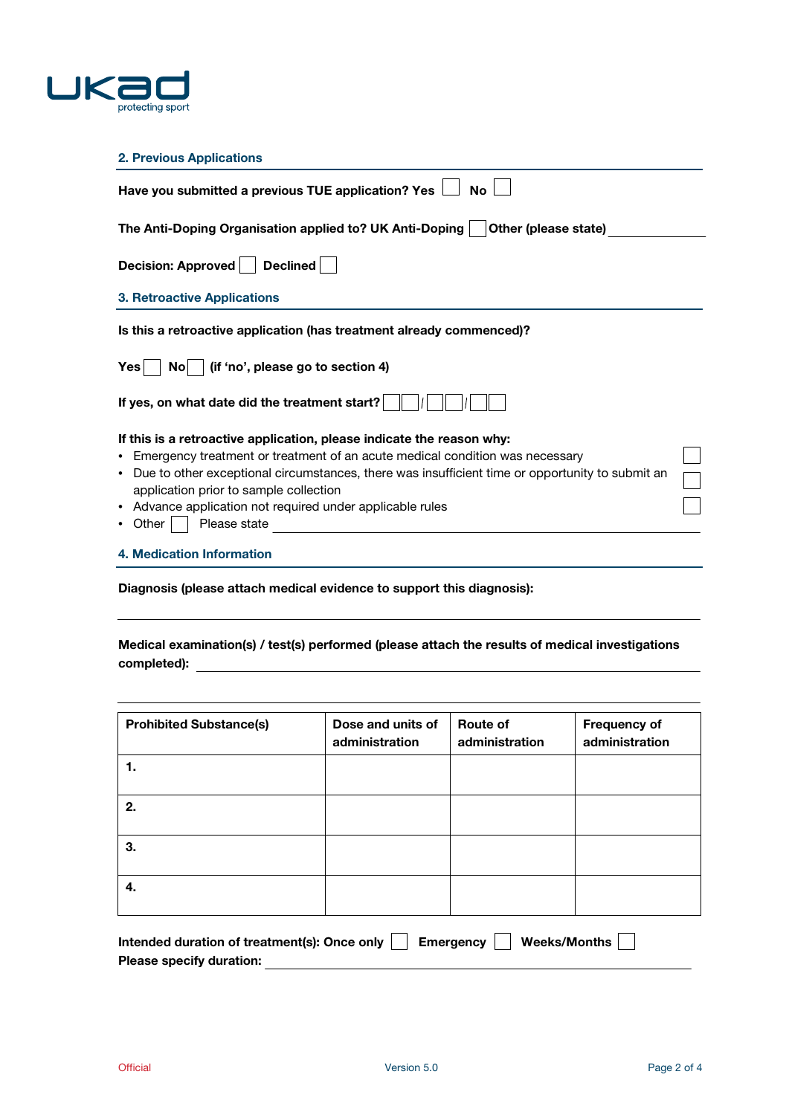

## 2. Previous Applications

| Have you submitted a previous TUE application? Yes<br>No                                             |  |
|------------------------------------------------------------------------------------------------------|--|
| The Anti-Doping Organisation applied to? UK Anti-Doping<br>Other (please state)                      |  |
| Decision: Approved<br>Declined                                                                       |  |
| <b>3. Retroactive Applications</b>                                                                   |  |
| Is this a retroactive application (has treatment already commenced)?                                 |  |
| (if 'no', please go to section 4)<br><b>Yes</b><br>Nol                                               |  |
| If yes, on what date did the treatment start?                                                        |  |
| If this is a retroactive application, please indicate the reason why:                                |  |
| • Emergency treatment or treatment of an acute medical condition was necessary                       |  |
| Due to other exceptional circumstances, there was insufficient time or opportunity to submit an<br>٠ |  |
| application prior to sample collection                                                               |  |
| Advance application not required under applicable rules<br>$\bullet$                                 |  |
| Please state<br>Other                                                                                |  |
| 4. Medication Information                                                                            |  |
|                                                                                                      |  |

Diagnosis (please attach medical evidence to support this diagnosis):

Medical examination(s) / test(s) performed (please attach the results of medical investigations completed):

| <b>Prohibited Substance(s)</b> | Dose and units of<br>administration | Route of<br>administration | <b>Frequency of</b><br>administration |
|--------------------------------|-------------------------------------|----------------------------|---------------------------------------|
|                                |                                     |                            |                                       |
| 2.                             |                                     |                            |                                       |
| З.                             |                                     |                            |                                       |
| 4.                             |                                     |                            |                                       |

| Intended duration of treatment(s): Once only $\Box$ Emergency $\Box$ Weeks/Months $\Box$ |  |  |  |
|------------------------------------------------------------------------------------------|--|--|--|
| <b>Please specify duration:</b>                                                          |  |  |  |

L.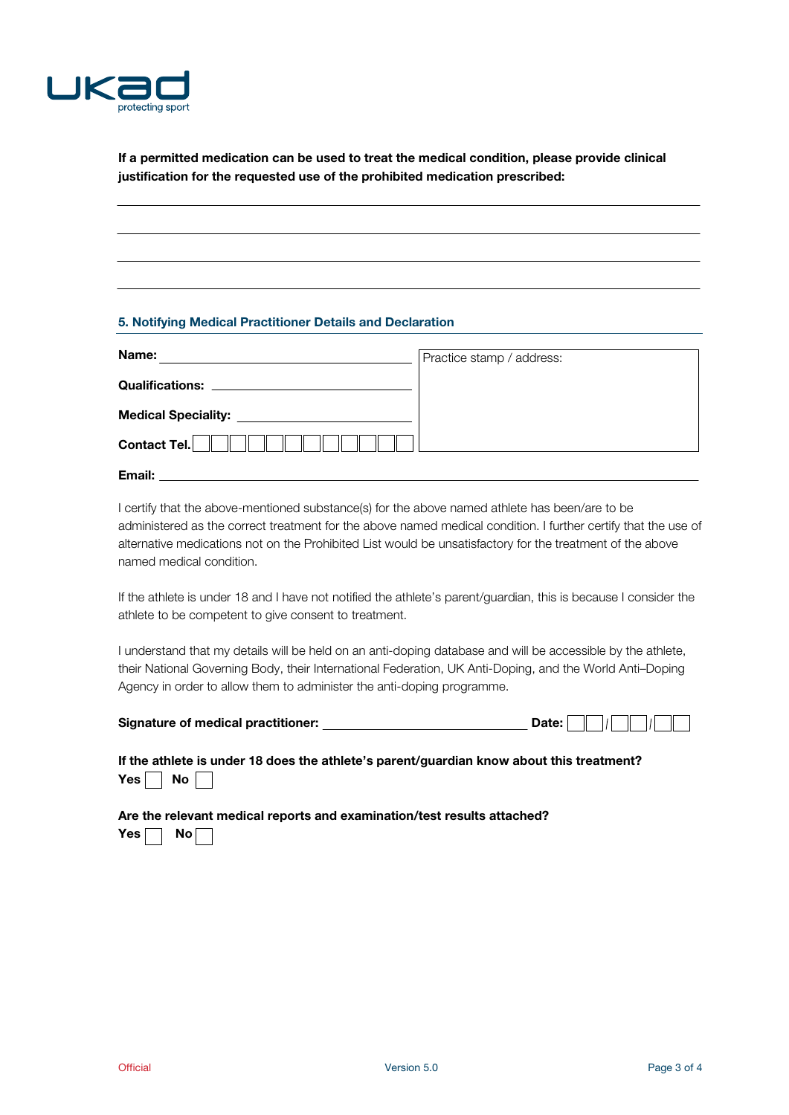

If a permitted medication can be used to treat the medical condition, please provide clinical justification for the requested use of the prohibited medication prescribed:

### 5. Notifying Medical Practitioner Details and Declaration

| Name:                                                                                                                                          | Practice stamp / address: |
|------------------------------------------------------------------------------------------------------------------------------------------------|---------------------------|
| <b>Qualifications:</b><br><u> 1980 - Jan Stein Stein Stein Stein Stein Stein Stein Stein Stein Stein Stein Stein Stein Stein Stein Stein S</u> |                           |
| <b>Medical Speciality:</b>                                                                                                                     |                           |
| Contact Tel.                                                                                                                                   |                           |
| Email:                                                                                                                                         |                           |

I certify that the above-mentioned substance(s) for the above named athlete has been/are to be administered as the correct treatment for the above named medical condition. I further certify that the use of alternative medications not on the Prohibited List would be unsatisfactory for the treatment of the above named medical condition.

If the athlete is under 18 and I have not notified the athlete's parent/guardian, this is because I consider the athlete to be competent to give consent to treatment.

I understand that my details will be held on an anti-doping database and will be accessible by the athlete, their National Governing Body, their International Federation, UK Anti-Doping, and the World Anti–Doping Agency in order to allow them to administer the anti-doping programme.

| <b>Signature of medical practitioner:</b> | Date: |  |  |  |
|-------------------------------------------|-------|--|--|--|
|                                           |       |  |  |  |

If the athlete is under 18 does the athlete's parent/guardian know about this treatment? Yes  $\Box$  No  $\Box$ 

Are the relevant medical reports and examination/test results attached? Yes  $\Box$  No  $\Box$